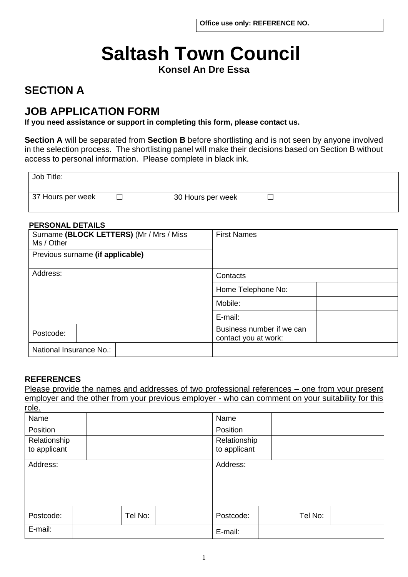# **Saltash Town Council**

**Konsel An Dre Essa**

## **SECTION A**

## **JOB APPLICATION FORM**

**If you need assistance or support in completing this form, please contact us.**

**Section A** will be separated from **Section B** before shortlisting and is not seen by anyone involved in the selection process. The shortlisting panel will make their decisions based on Section B without access to personal information. Please complete in black ink.

| Job Title:        |                   |  |  |
|-------------------|-------------------|--|--|
| 37 Hours per week | 30 Hours per week |  |  |

#### **PERSONAL DETAILS**

| Surname (BLOCK LETTERS) (Mr / Mrs / Miss<br>Ms / Other | <b>First Names</b>                                |  |  |
|--------------------------------------------------------|---------------------------------------------------|--|--|
| Previous surname (if applicable)                       |                                                   |  |  |
| Address:                                               | Contacts                                          |  |  |
|                                                        | Home Telephone No:                                |  |  |
|                                                        | Mobile:                                           |  |  |
|                                                        | E-mail:                                           |  |  |
| Postcode:                                              | Business number if we can<br>contact you at work: |  |  |
| National Insurance No.:                                |                                                   |  |  |

#### **REFERENCES**

Please provide the names and addresses of two professional references – one from your present employer and the other from your previous employer - who can comment on your suitability for this role.

| Name                         |  |                              |          | Name      |  |         |  |
|------------------------------|--|------------------------------|----------|-----------|--|---------|--|
| Position                     |  |                              | Position |           |  |         |  |
| Relationship<br>to applicant |  | Relationship<br>to applicant |          |           |  |         |  |
| Address:                     |  |                              |          | Address:  |  |         |  |
| Postcode:                    |  | Tel No:                      |          | Postcode: |  | Tel No: |  |
| E-mail:                      |  |                              |          | E-mail:   |  |         |  |